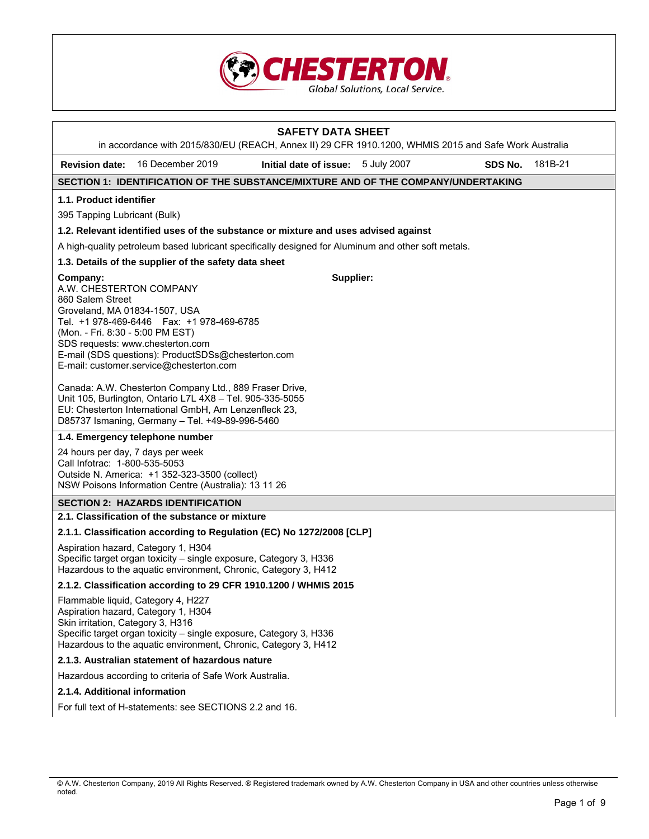

|                                                                                                                              | in accordance with 2015/830/EU (REACH, Annex II) 29 CFR 1910.1200, WHMIS 2015 and Safe Work Australia                                                                                                                                                                                                                                                                                                                 | <b>SAFETY DATA SHEET</b>           |         |         |
|------------------------------------------------------------------------------------------------------------------------------|-----------------------------------------------------------------------------------------------------------------------------------------------------------------------------------------------------------------------------------------------------------------------------------------------------------------------------------------------------------------------------------------------------------------------|------------------------------------|---------|---------|
| <b>Revision date:</b>                                                                                                        | 16 December 2019                                                                                                                                                                                                                                                                                                                                                                                                      | Initial date of issue: 5 July 2007 | SDS No. | 181B-21 |
|                                                                                                                              | SECTION 1: IDENTIFICATION OF THE SUBSTANCE/MIXTURE AND OF THE COMPANY/UNDERTAKING                                                                                                                                                                                                                                                                                                                                     |                                    |         |         |
| 1.1. Product identifier                                                                                                      |                                                                                                                                                                                                                                                                                                                                                                                                                       |                                    |         |         |
| 395 Tapping Lubricant (Bulk)                                                                                                 |                                                                                                                                                                                                                                                                                                                                                                                                                       |                                    |         |         |
|                                                                                                                              | 1.2. Relevant identified uses of the substance or mixture and uses advised against                                                                                                                                                                                                                                                                                                                                    |                                    |         |         |
|                                                                                                                              | A high-quality petroleum based lubricant specifically designed for Aluminum and other soft metals.                                                                                                                                                                                                                                                                                                                    |                                    |         |         |
|                                                                                                                              | 1.3. Details of the supplier of the safety data sheet                                                                                                                                                                                                                                                                                                                                                                 |                                    |         |         |
| Company:<br>A.W. CHESTERTON COMPANY<br>860 Salem Street<br>Groveland, MA 01834-1507, USA<br>(Mon. - Fri. 8:30 - 5:00 PM EST) | Tel. +1 978-469-6446    Fax: +1 978-469-6785<br>SDS requests: www.chesterton.com<br>E-mail (SDS questions): ProductSDSs@chesterton.com<br>E-mail: customer.service@chesterton.com<br>Canada: A.W. Chesterton Company Ltd., 889 Fraser Drive,<br>Unit 105, Burlington, Ontario L7L 4X8 - Tel. 905-335-5055<br>EU: Chesterton International GmbH, Am Lenzenfleck 23,<br>D85737 Ismaning, Germany - Tel. +49-89-996-5460 | Supplier:                          |         |         |
|                                                                                                                              | 1.4. Emergency telephone number                                                                                                                                                                                                                                                                                                                                                                                       |                                    |         |         |
| Call Infotrac: 1-800-535-5053                                                                                                | 24 hours per day, 7 days per week<br>Outside N. America: +1 352-323-3500 (collect)<br>NSW Poisons Information Centre (Australia): 13 11 26                                                                                                                                                                                                                                                                            |                                    |         |         |
|                                                                                                                              | <b>SECTION 2: HAZARDS IDENTIFICATION</b>                                                                                                                                                                                                                                                                                                                                                                              |                                    |         |         |
|                                                                                                                              | 2.1. Classification of the substance or mixture                                                                                                                                                                                                                                                                                                                                                                       |                                    |         |         |
|                                                                                                                              | 2.1.1. Classification according to Regulation (EC) No 1272/2008 [CLP]                                                                                                                                                                                                                                                                                                                                                 |                                    |         |         |
|                                                                                                                              | Aspiration hazard, Category 1, H304<br>Specific target organ toxicity - single exposure, Category 3, H336<br>Hazardous to the aquatic environment, Chronic, Category 3, H412                                                                                                                                                                                                                                          |                                    |         |         |
|                                                                                                                              | 2.1.2. Classification according to 29 CFR 1910.1200 / WHMIS 2015                                                                                                                                                                                                                                                                                                                                                      |                                    |         |         |
| Skin irritation, Category 3, H316                                                                                            | Flammable liquid, Category 4, H227<br>Aspiration hazard, Category 1, H304<br>Specific target organ toxicity - single exposure, Category 3, H336<br>Hazardous to the aquatic environment, Chronic, Category 3, H412                                                                                                                                                                                                    |                                    |         |         |
|                                                                                                                              | 2.1.3. Australian statement of hazardous nature                                                                                                                                                                                                                                                                                                                                                                       |                                    |         |         |
|                                                                                                                              | Hazardous according to criteria of Safe Work Australia.                                                                                                                                                                                                                                                                                                                                                               |                                    |         |         |
| 2.1.4. Additional information                                                                                                |                                                                                                                                                                                                                                                                                                                                                                                                                       |                                    |         |         |
|                                                                                                                              | For full text of H-statements: see SECTIONS 2.2 and 16.                                                                                                                                                                                                                                                                                                                                                               |                                    |         |         |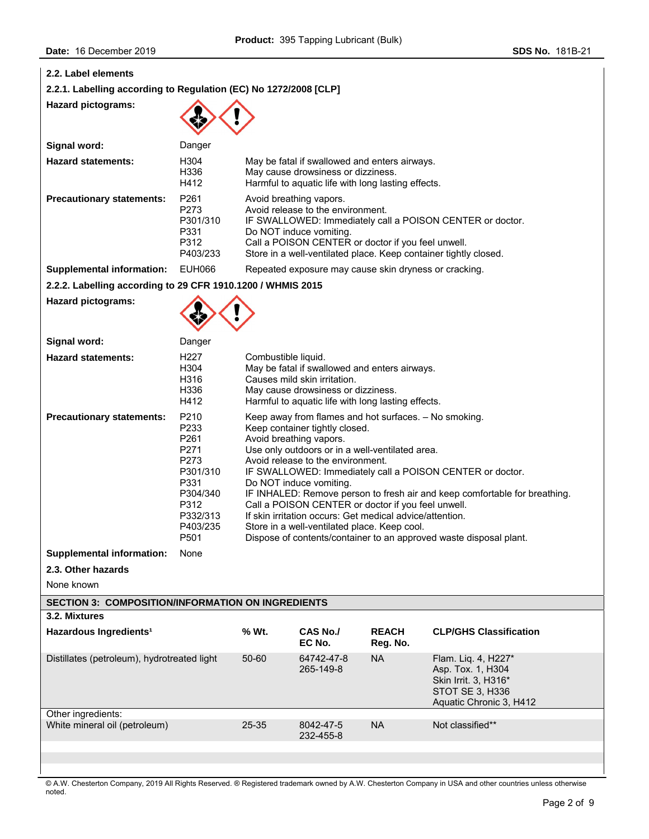$\mathsf{l}$ 

| 2.2. Label elements                                              |                                                                                                                          |                                                                                                                                                                                                                                                                                                                                                                                                                                                                                                                                                                                                                          |                                                                                                                                                                           |                          |                                                                                                                               |
|------------------------------------------------------------------|--------------------------------------------------------------------------------------------------------------------------|--------------------------------------------------------------------------------------------------------------------------------------------------------------------------------------------------------------------------------------------------------------------------------------------------------------------------------------------------------------------------------------------------------------------------------------------------------------------------------------------------------------------------------------------------------------------------------------------------------------------------|---------------------------------------------------------------------------------------------------------------------------------------------------------------------------|--------------------------|-------------------------------------------------------------------------------------------------------------------------------|
| 2.2.1. Labelling according to Regulation (EC) No 1272/2008 [CLP] |                                                                                                                          |                                                                                                                                                                                                                                                                                                                                                                                                                                                                                                                                                                                                                          |                                                                                                                                                                           |                          |                                                                                                                               |
| <b>Hazard pictograms:</b>                                        |                                                                                                                          |                                                                                                                                                                                                                                                                                                                                                                                                                                                                                                                                                                                                                          |                                                                                                                                                                           |                          |                                                                                                                               |
| Signal word:                                                     | Danger                                                                                                                   |                                                                                                                                                                                                                                                                                                                                                                                                                                                                                                                                                                                                                          |                                                                                                                                                                           |                          |                                                                                                                               |
| <b>Hazard statements:</b>                                        | H304<br>H336<br>H412                                                                                                     |                                                                                                                                                                                                                                                                                                                                                                                                                                                                                                                                                                                                                          | May be fatal if swallowed and enters airways.<br>May cause drowsiness or dizziness.<br>Harmful to aquatic life with long lasting effects.                                 |                          |                                                                                                                               |
| <b>Precautionary statements:</b>                                 | P <sub>261</sub><br>P273<br>P301/310<br>P331<br>P312<br>P403/233                                                         |                                                                                                                                                                                                                                                                                                                                                                                                                                                                                                                                                                                                                          | Avoid breathing vapors.<br>Avoid release to the environment.<br>Do NOT induce vomiting.<br>Call a POISON CENTER or doctor if you feel unwell.                             |                          | IF SWALLOWED: Immediately call a POISON CENTER or doctor.<br>Store in a well-ventilated place. Keep container tightly closed. |
| <b>Supplemental information:</b>                                 | <b>EUH066</b>                                                                                                            |                                                                                                                                                                                                                                                                                                                                                                                                                                                                                                                                                                                                                          | Repeated exposure may cause skin dryness or cracking.                                                                                                                     |                          |                                                                                                                               |
| 2.2.2. Labelling according to 29 CFR 1910.1200 / WHMIS 2015      |                                                                                                                          |                                                                                                                                                                                                                                                                                                                                                                                                                                                                                                                                                                                                                          |                                                                                                                                                                           |                          |                                                                                                                               |
| <b>Hazard pictograms:</b>                                        |                                                                                                                          |                                                                                                                                                                                                                                                                                                                                                                                                                                                                                                                                                                                                                          |                                                                                                                                                                           |                          |                                                                                                                               |
| Signal word:                                                     | Danger                                                                                                                   |                                                                                                                                                                                                                                                                                                                                                                                                                                                                                                                                                                                                                          |                                                                                                                                                                           |                          |                                                                                                                               |
| <b>Hazard statements:</b>                                        | H227<br>H304<br>H316<br>H336<br>H412                                                                                     | Combustible liquid.                                                                                                                                                                                                                                                                                                                                                                                                                                                                                                                                                                                                      | May be fatal if swallowed and enters airways.<br>Causes mild skin irritation.<br>May cause drowsiness or dizziness.<br>Harmful to aquatic life with long lasting effects. |                          |                                                                                                                               |
| <b>Precautionary statements:</b>                                 | P210<br>P233<br>P261<br>P271<br>P273<br>P301/310<br>P331<br>P304/340<br>P312<br>P332/313<br>P403/235<br>P <sub>501</sub> | Keep away from flames and hot surfaces. - No smoking.<br>Keep container tightly closed.<br>Avoid breathing vapors.<br>Use only outdoors or in a well-ventilated area.<br>Avoid release to the environment.<br>IF SWALLOWED: Immediately call a POISON CENTER or doctor.<br>Do NOT induce vomiting.<br>IF INHALED: Remove person to fresh air and keep comfortable for breathing.<br>Call a POISON CENTER or doctor if you feel unwell.<br>If skin irritation occurs: Get medical advice/attention.<br>Store in a well-ventilated place. Keep cool.<br>Dispose of contents/container to an approved waste disposal plant. |                                                                                                                                                                           |                          |                                                                                                                               |
| <b>Supplemental information:</b>                                 | None                                                                                                                     |                                                                                                                                                                                                                                                                                                                                                                                                                                                                                                                                                                                                                          |                                                                                                                                                                           |                          |                                                                                                                               |
| 2.3. Other hazards                                               |                                                                                                                          |                                                                                                                                                                                                                                                                                                                                                                                                                                                                                                                                                                                                                          |                                                                                                                                                                           |                          |                                                                                                                               |
| None known                                                       |                                                                                                                          |                                                                                                                                                                                                                                                                                                                                                                                                                                                                                                                                                                                                                          |                                                                                                                                                                           |                          |                                                                                                                               |
| <b>SECTION 3: COMPOSITION/INFORMATION ON INGREDIENTS</b>         |                                                                                                                          |                                                                                                                                                                                                                                                                                                                                                                                                                                                                                                                                                                                                                          |                                                                                                                                                                           |                          |                                                                                                                               |
| 3.2. Mixtures                                                    |                                                                                                                          |                                                                                                                                                                                                                                                                                                                                                                                                                                                                                                                                                                                                                          |                                                                                                                                                                           |                          |                                                                                                                               |
| Hazardous Ingredients <sup>1</sup>                               |                                                                                                                          | % Wt.                                                                                                                                                                                                                                                                                                                                                                                                                                                                                                                                                                                                                    | CAS No./<br>EC No.                                                                                                                                                        | <b>REACH</b><br>Reg. No. | <b>CLP/GHS Classification</b>                                                                                                 |
| Distillates (petroleum), hydrotreated light                      |                                                                                                                          | 50-60                                                                                                                                                                                                                                                                                                                                                                                                                                                                                                                                                                                                                    | 64742-47-8<br>265-149-8                                                                                                                                                   | <b>NA</b>                | Flam. Liq. 4, H227*<br>Asp. Tox. 1, H304<br>Skin Irrit. 3, H316*<br>STOT SE 3, H336<br>Aquatic Chronic 3, H412                |
| Other ingredients:<br>White mineral oil (petroleum)              |                                                                                                                          | 25-35                                                                                                                                                                                                                                                                                                                                                                                                                                                                                                                                                                                                                    | 8042-47-5                                                                                                                                                                 | <b>NA</b>                | Not classified**                                                                                                              |
|                                                                  |                                                                                                                          |                                                                                                                                                                                                                                                                                                                                                                                                                                                                                                                                                                                                                          | 232-455-8                                                                                                                                                                 |                          |                                                                                                                               |
|                                                                  |                                                                                                                          |                                                                                                                                                                                                                                                                                                                                                                                                                                                                                                                                                                                                                          |                                                                                                                                                                           |                          |                                                                                                                               |
|                                                                  |                                                                                                                          |                                                                                                                                                                                                                                                                                                                                                                                                                                                                                                                                                                                                                          |                                                                                                                                                                           |                          |                                                                                                                               |

© A.W. Chesterton Company, 2019 All Rights Reserved. ® Registered trademark owned by A.W. Chesterton Company in USA and other countries unless otherwise noted.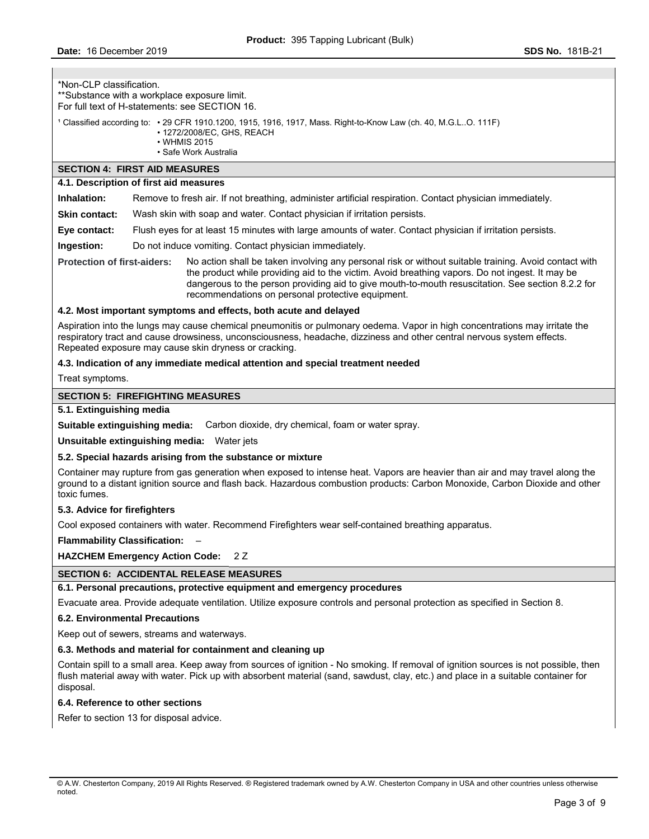#### \*Non-CLP classification.

\*\*Substance with a workplace exposure limit.

For full text of H-statements: see SECTION 16.

- 1 Classified according to: 29 CFR 1910.1200, 1915, 1916, 1917, Mass. Right-to-Know Law (ch. 40, M.G.L..O. 111F)
	- 1272/2008/EC, GHS, REACH
	- WHMIS 2015
	- Safe Work Australia
- **SECTION 4: FIRST AID MEASURES**

## **4.1. Description of first aid measures**

**Inhalation:** Remove to fresh air. If not breathing, administer artificial respiration. Contact physician immediately.

Skin contact: Wash skin with soap and water. Contact physician if irritation persists.

**Eye contact:** Flush eyes for at least 15 minutes with large amounts of water. Contact physician if irritation persists.

**Ingestion:** Do not induce vomiting. Contact physician immediately.

**Protection of first-aiders:** No action shall be taken involving any personal risk or without suitable training. Avoid contact with the product while providing aid to the victim. Avoid breathing vapors. Do not ingest. It may be dangerous to the person providing aid to give mouth-to-mouth resuscitation. See section 8.2.2 for recommendations on personal protective equipment.

## **4.2. Most important symptoms and effects, both acute and delayed**

Aspiration into the lungs may cause chemical pneumonitis or pulmonary oedema. Vapor in high concentrations may irritate the respiratory tract and cause drowsiness, unconsciousness, headache, dizziness and other central nervous system effects. Repeated exposure may cause skin dryness or cracking.

#### **4.3. Indication of any immediate medical attention and special treatment needed**

Treat symptoms.

## **SECTION 5: FIREFIGHTING MEASURES**

#### **5.1. Extinguishing media**

**Suitable extinguishing media:** Carbon dioxide, dry chemical, foam or water spray.

**Unsuitable extinguishing media:** Water jets

#### **5.2. Special hazards arising from the substance or mixture**

Container may rupture from gas generation when exposed to intense heat. Vapors are heavier than air and may travel along the ground to a distant ignition source and flash back. Hazardous combustion products: Carbon Monoxide, Carbon Dioxide and other toxic fumes.

## **5.3. Advice for firefighters**

Cool exposed containers with water. Recommend Firefighters wear self-contained breathing apparatus.

#### **Flammability Classification:** –

**HAZCHEM Emergency Action Code:** 2 Z

## **SECTION 6: ACCIDENTAL RELEASE MEASURES**

#### **6.1. Personal precautions, protective equipment and emergency procedures**

Evacuate area. Provide adequate ventilation. Utilize exposure controls and personal protection as specified in Section 8.

#### **6.2. Environmental Precautions**

Keep out of sewers, streams and waterways.

#### **6.3. Methods and material for containment and cleaning up**

Contain spill to a small area. Keep away from sources of ignition - No smoking. If removal of ignition sources is not possible, then flush material away with water. Pick up with absorbent material (sand, sawdust, clay, etc.) and place in a suitable container for disposal.

#### **6.4. Reference to other sections**

Refer to section 13 for disposal advice.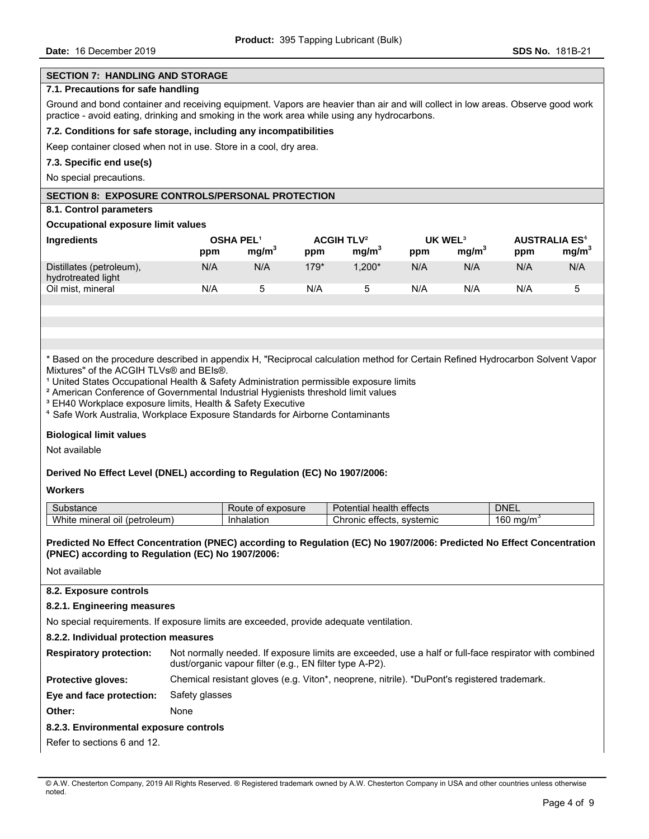## **SECTION 7: HANDLING AND STORAGE**

## **7.1. Precautions for safe handling**

Ground and bond container and receiving equipment. Vapors are heavier than air and will collect in low areas. Observe good work practice - avoid eating, drinking and smoking in the work area while using any hydrocarbons.

#### **7.2. Conditions for safe storage, including any incompatibilities**

Keep container closed when not in use. Store in a cool, dry area.

#### **7.3. Specific end use(s)**

No special precautions.

## **SECTION 8: EXPOSURE CONTROLS/PERSONAL PROTECTION**

## **8.1. Control parameters**

#### **Occupational exposure limit values**

| <b>Ingredients</b>                             | <b>OSHA PEL1</b><br>ppm | mq/m <sup>3</sup> | ppm    | ACGHTLV <sup>2</sup><br>mg/m <sup>3</sup> | ppm | UK WEL <sup>3</sup><br>ma/m <sup>3</sup> | ppm | <b>AUSTRALIA ES<sup>4</sup></b><br>mg/m <sup>3</sup> |
|------------------------------------------------|-------------------------|-------------------|--------|-------------------------------------------|-----|------------------------------------------|-----|------------------------------------------------------|
| Distillates (petroleum),<br>hydrotreated light | N/A                     | N/A               | $179*$ | $1.200*$                                  | N/A | N/A                                      | N/A | N/A                                                  |
| Oil mist, mineral                              | N/A                     |                   | N/A    |                                           | N/A | N/A                                      | N/A | 5                                                    |

\* Based on the procedure described in appendix H, "Reciprocal calculation method for Certain Refined Hydrocarbon Solvent Vapor Mixtures" of the ACGIH TLVs® and BEIs®.

- <sup>1</sup> United States Occupational Health & Safety Administration permissible exposure limits
- ² American Conference of Governmental Industrial Hygienists threshold limit values
- <sup>3</sup> EH40 Workplace exposure limits, Health & Safety Executive
- ⁴ Safe Work Australia, Workplace Exposure Standards for Airborne Contaminants

#### **Biological limit values**

Not available

#### **Derived No Effect Level (DNEL) according to Regulation (EC) No 1907/2006:**

#### **Workers**

| Substance                                            | exposure<br>0t<br>⊀oute | health effects<br>Potential  | <b>DNEL</b>          |
|------------------------------------------------------|-------------------------|------------------------------|----------------------|
| <b>\A/F</b><br>(petroleum)<br>mineral<br>าite<br>ΟII | Inhalation              | Chronic effects.<br>svstemic | 60<br>ma/m<br>$\sim$ |

## **Predicted No Effect Concentration (PNEC) according to Regulation (EC) No 1907/2006: Predicted No Effect Concentration (PNEC) according to Regulation (EC) No 1907/2006:**

Not available

#### **8.2. Exposure controls**

#### **8.2.1. Engineering measures**

No special requirements. If exposure limits are exceeded, provide adequate ventilation.

## **8.2.2. Individual protection measures**

| <b>Respiratory protection:</b> | Not normally needed. If exposure limits are exceeded, use a half or full-face respirator with combined<br>dust/organic vapour filter (e.g., EN filter type A-P2). |
|--------------------------------|-------------------------------------------------------------------------------------------------------------------------------------------------------------------|
| .                              |                                                                                                                                                                   |

| <b>Protective gloves:</b>               | Chemical resistant gloves (e.g. Viton*, neoprene, nitrile). *DuPont's registered trademark. |
|-----------------------------------------|---------------------------------------------------------------------------------------------|
| Eye and face protection: Safety glasses |                                                                                             |

**Other:** None

## **8.2.3. Environmental exposure controls**

Refer to sections 6 and 12.

<sup>©</sup> A.W. Chesterton Company, 2019 All Rights Reserved. ® Registered trademark owned by A.W. Chesterton Company in USA and other countries unless otherwise noted.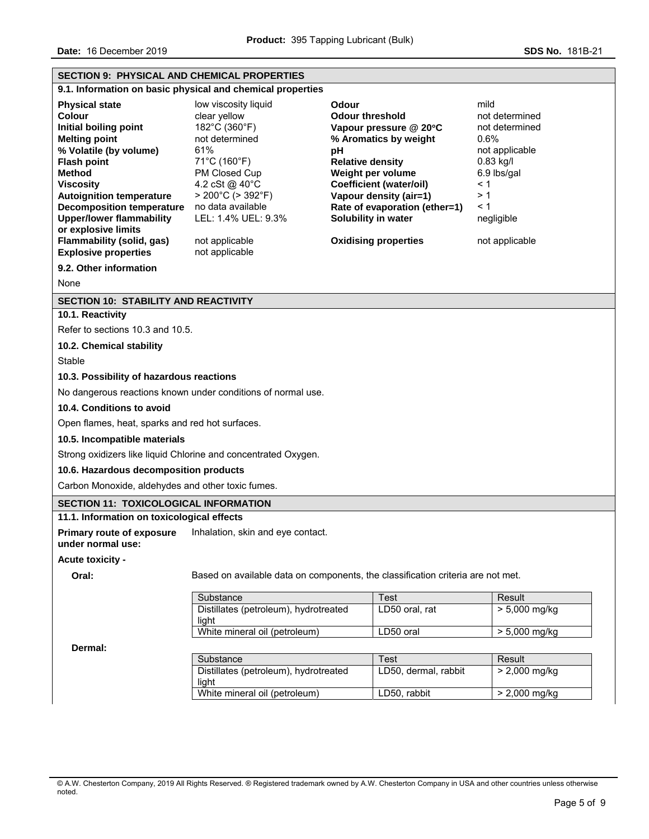| <b>SECTION 9: PHYSICAL AND CHEMICAL PROPERTIES</b>                                                                                                                                                                                                                                                                                         |                                                                                                                                                                                                                                           |                                                                                                                                                                                                                                                                                             |                                                                                                                                                      |
|--------------------------------------------------------------------------------------------------------------------------------------------------------------------------------------------------------------------------------------------------------------------------------------------------------------------------------------------|-------------------------------------------------------------------------------------------------------------------------------------------------------------------------------------------------------------------------------------------|---------------------------------------------------------------------------------------------------------------------------------------------------------------------------------------------------------------------------------------------------------------------------------------------|------------------------------------------------------------------------------------------------------------------------------------------------------|
|                                                                                                                                                                                                                                                                                                                                            | 9.1. Information on basic physical and chemical properties                                                                                                                                                                                |                                                                                                                                                                                                                                                                                             |                                                                                                                                                      |
| <b>Physical state</b><br>Colour<br>Initial boiling point<br><b>Melting point</b><br>% Volatile (by volume)<br><b>Flash point</b><br><b>Method</b><br><b>Viscosity</b><br><b>Autoignition temperature</b><br><b>Decomposition temperature</b><br><b>Upper/lower flammability</b><br>or explosive limits<br><b>Flammability (solid, gas)</b> | low viscosity liquid<br>clear yellow<br>182°C (360°F)<br>not determined<br>61%<br>71°C (160°F)<br>PM Closed Cup<br>4.2 cSt @ 40°C<br>$> 200^{\circ}$ C ( $> 392^{\circ}$ F)<br>no data available<br>LEL: 1.4% UEL: 9.3%<br>not applicable | Odour<br><b>Odour threshold</b><br>Vapour pressure @ 20°C<br>% Aromatics by weight<br>рH<br><b>Relative density</b><br>Weight per volume<br><b>Coefficient (water/oil)</b><br>Vapour density (air=1)<br>Rate of evaporation (ether=1)<br>Solubility in water<br><b>Oxidising properties</b> | mild<br>not determined<br>not determined<br>0.6%<br>not applicable<br>$0.83$ kg/l<br>6.9 lbs/gal<br>< 1<br>>1<br>< 1<br>negligible<br>not applicable |
| <b>Explosive properties</b>                                                                                                                                                                                                                                                                                                                | not applicable                                                                                                                                                                                                                            |                                                                                                                                                                                                                                                                                             |                                                                                                                                                      |
| 9.2. Other information                                                                                                                                                                                                                                                                                                                     |                                                                                                                                                                                                                                           |                                                                                                                                                                                                                                                                                             |                                                                                                                                                      |
| None                                                                                                                                                                                                                                                                                                                                       |                                                                                                                                                                                                                                           |                                                                                                                                                                                                                                                                                             |                                                                                                                                                      |
| <b>SECTION 10: STABILITY AND REACTIVITY</b>                                                                                                                                                                                                                                                                                                |                                                                                                                                                                                                                                           |                                                                                                                                                                                                                                                                                             |                                                                                                                                                      |
| 10.1. Reactivity                                                                                                                                                                                                                                                                                                                           |                                                                                                                                                                                                                                           |                                                                                                                                                                                                                                                                                             |                                                                                                                                                      |
| Refer to sections 10.3 and 10.5.                                                                                                                                                                                                                                                                                                           |                                                                                                                                                                                                                                           |                                                                                                                                                                                                                                                                                             |                                                                                                                                                      |
| 10.2. Chemical stability                                                                                                                                                                                                                                                                                                                   |                                                                                                                                                                                                                                           |                                                                                                                                                                                                                                                                                             |                                                                                                                                                      |
| Stable                                                                                                                                                                                                                                                                                                                                     |                                                                                                                                                                                                                                           |                                                                                                                                                                                                                                                                                             |                                                                                                                                                      |
| 10.3. Possibility of hazardous reactions                                                                                                                                                                                                                                                                                                   |                                                                                                                                                                                                                                           |                                                                                                                                                                                                                                                                                             |                                                                                                                                                      |
|                                                                                                                                                                                                                                                                                                                                            | No dangerous reactions known under conditions of normal use.                                                                                                                                                                              |                                                                                                                                                                                                                                                                                             |                                                                                                                                                      |
| 10.4. Conditions to avoid                                                                                                                                                                                                                                                                                                                  |                                                                                                                                                                                                                                           |                                                                                                                                                                                                                                                                                             |                                                                                                                                                      |
| Open flames, heat, sparks and red hot surfaces.                                                                                                                                                                                                                                                                                            |                                                                                                                                                                                                                                           |                                                                                                                                                                                                                                                                                             |                                                                                                                                                      |
| 10.5. Incompatible materials                                                                                                                                                                                                                                                                                                               |                                                                                                                                                                                                                                           |                                                                                                                                                                                                                                                                                             |                                                                                                                                                      |
|                                                                                                                                                                                                                                                                                                                                            | Strong oxidizers like liquid Chlorine and concentrated Oxygen.                                                                                                                                                                            |                                                                                                                                                                                                                                                                                             |                                                                                                                                                      |
| 10.6. Hazardous decomposition products                                                                                                                                                                                                                                                                                                     |                                                                                                                                                                                                                                           |                                                                                                                                                                                                                                                                                             |                                                                                                                                                      |
| Carbon Monoxide, aldehydes and other toxic fumes.                                                                                                                                                                                                                                                                                          |                                                                                                                                                                                                                                           |                                                                                                                                                                                                                                                                                             |                                                                                                                                                      |
| <b>SECTION 11: TOXICOLOGICAL INFORMATION</b>                                                                                                                                                                                                                                                                                               |                                                                                                                                                                                                                                           |                                                                                                                                                                                                                                                                                             |                                                                                                                                                      |
| 11.1. Information on toxicological effects                                                                                                                                                                                                                                                                                                 |                                                                                                                                                                                                                                           |                                                                                                                                                                                                                                                                                             |                                                                                                                                                      |
| under normal use:                                                                                                                                                                                                                                                                                                                          | Primary route of exposure  Inhalation, skin and eye contact.                                                                                                                                                                              |                                                                                                                                                                                                                                                                                             |                                                                                                                                                      |
| <b>Acute toxicity -</b>                                                                                                                                                                                                                                                                                                                    |                                                                                                                                                                                                                                           |                                                                                                                                                                                                                                                                                             |                                                                                                                                                      |
| Oral:                                                                                                                                                                                                                                                                                                                                      |                                                                                                                                                                                                                                           | Based on available data on components, the classification criteria are not met.                                                                                                                                                                                                             |                                                                                                                                                      |
|                                                                                                                                                                                                                                                                                                                                            | Substance                                                                                                                                                                                                                                 | <b>Test</b>                                                                                                                                                                                                                                                                                 | Result                                                                                                                                               |
|                                                                                                                                                                                                                                                                                                                                            | Distillates (petroleum), hydrotreated<br>light                                                                                                                                                                                            | LD50 oral, rat                                                                                                                                                                                                                                                                              | $> 5,000$ mg/kg                                                                                                                                      |
|                                                                                                                                                                                                                                                                                                                                            | White mineral oil (petroleum)                                                                                                                                                                                                             | LD50 oral                                                                                                                                                                                                                                                                                   | > 5,000 mg/kg                                                                                                                                        |
| Dermal:                                                                                                                                                                                                                                                                                                                                    |                                                                                                                                                                                                                                           |                                                                                                                                                                                                                                                                                             |                                                                                                                                                      |
|                                                                                                                                                                                                                                                                                                                                            | Substance<br>Distillates (petroleum), hydrotreated<br>light                                                                                                                                                                               | <b>Test</b><br>LD50, dermal, rabbit                                                                                                                                                                                                                                                         | Result<br>$> 2,000$ mg/kg                                                                                                                            |
|                                                                                                                                                                                                                                                                                                                                            | White mineral oil (petroleum)                                                                                                                                                                                                             | LD50, rabbit                                                                                                                                                                                                                                                                                | > 2,000 mg/kg                                                                                                                                        |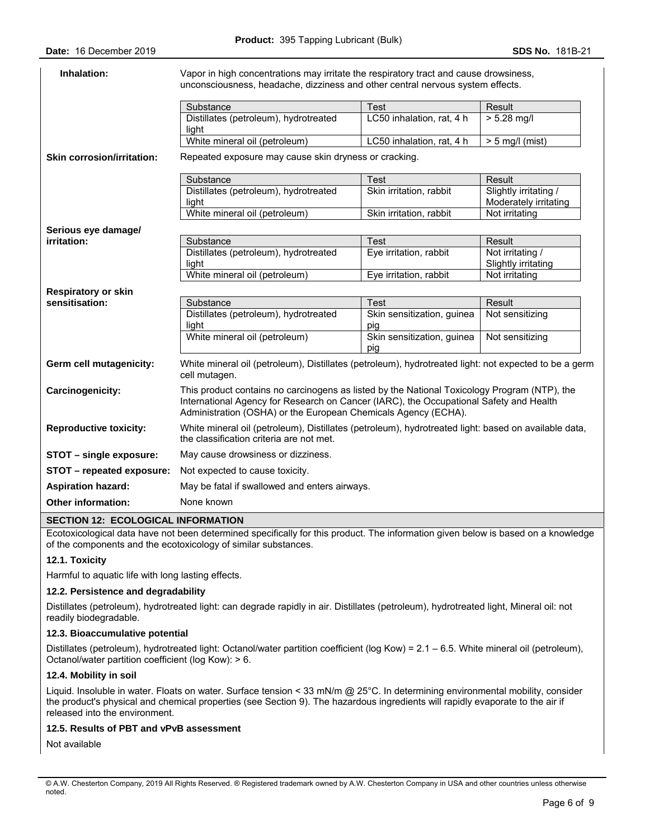| Inhalation:                       | Vapor in high concentrations may irritate the respiratory tract and cause drowsiness,<br>unconsciousness, headache, dizziness and other central nervous system effects.                                                                                  |                                   |                                                |
|-----------------------------------|----------------------------------------------------------------------------------------------------------------------------------------------------------------------------------------------------------------------------------------------------------|-----------------------------------|------------------------------------------------|
|                                   | Substance                                                                                                                                                                                                                                                | <b>Test</b>                       | Result                                         |
|                                   | Distillates (petroleum), hydrotreated<br>light                                                                                                                                                                                                           | LC50 inhalation, rat, 4 h         | $> 5.28$ mg/l                                  |
|                                   | White mineral oil (petroleum)                                                                                                                                                                                                                            | LC50 inhalation, rat, 4 h         | $> 5$ mg/l (mist)                              |
| <b>Skin corrosion/irritation:</b> | Repeated exposure may cause skin dryness or cracking.                                                                                                                                                                                                    |                                   |                                                |
|                                   | Substance                                                                                                                                                                                                                                                | <b>Test</b>                       | Result                                         |
|                                   | Distillates (petroleum), hydrotreated<br>light                                                                                                                                                                                                           | Skin irritation, rabbit           | Slightly irritating /<br>Moderately irritating |
|                                   | White mineral oil (petroleum)                                                                                                                                                                                                                            | Skin irritation, rabbit           | Not irritating                                 |
| Serious eye damage/               |                                                                                                                                                                                                                                                          |                                   |                                                |
| irritation:                       | Substance                                                                                                                                                                                                                                                | <b>Test</b>                       | Result                                         |
|                                   | Distillates (petroleum), hydrotreated                                                                                                                                                                                                                    | Eye irritation, rabbit            | Not irritating $/$                             |
|                                   | light                                                                                                                                                                                                                                                    |                                   | Slightly irritating                            |
|                                   | White mineral oil (petroleum)                                                                                                                                                                                                                            | Eye irritation, rabbit            | Not irritating                                 |
| <b>Respiratory or skin</b>        |                                                                                                                                                                                                                                                          |                                   |                                                |
| sensitisation:                    | Substance                                                                                                                                                                                                                                                | <b>Test</b>                       | Result                                         |
|                                   | Distillates (petroleum), hydrotreated<br>light                                                                                                                                                                                                           | Skin sensitization, guinea<br>pig | Not sensitizing                                |
|                                   | White mineral oil (petroleum)                                                                                                                                                                                                                            | Skin sensitization, guinea<br>pig | Not sensitizing                                |
| Germ cell mutagenicity:           | White mineral oil (petroleum), Distillates (petroleum), hydrotreated light: not expected to be a germ<br>cell mutagen.                                                                                                                                   |                                   |                                                |
| Carcinogenicity:                  | This product contains no carcinogens as listed by the National Toxicology Program (NTP), the<br>International Agency for Research on Cancer (IARC), the Occupational Safety and Health<br>Administration (OSHA) or the European Chemicals Agency (ECHA). |                                   |                                                |
| <b>Reproductive toxicity:</b>     | White mineral oil (petroleum), Distillates (petroleum), hydrotreated light: based on available data,<br>the classification criteria are not met.                                                                                                         |                                   |                                                |
| STOT - single exposure:           | May cause drowsiness or dizziness.                                                                                                                                                                                                                       |                                   |                                                |
| STOT - repeated exposure:         | Not expected to cause toxicity.                                                                                                                                                                                                                          |                                   |                                                |
| <b>Aspiration hazard:</b>         | May be fatal if swallowed and enters airways.                                                                                                                                                                                                            |                                   |                                                |
| <b>Other information:</b>         | None known                                                                                                                                                                                                                                               |                                   |                                                |

## **SECTION 12: ECOLOGICAL INFORMATION**

Ecotoxicological data have not been determined specifically for this product. The information given below is based on a knowledge of the components and the ecotoxicology of similar substances.

# **12.1. Toxicity**

Harmful to aquatic life with long lasting effects.

## **12.2. Persistence and degradability**

Distillates (petroleum), hydrotreated light: can degrade rapidly in air. Distillates (petroleum), hydrotreated light, Mineral oil: not readily biodegradable.

## **12.3. Bioaccumulative potential**

Distillates (petroleum), hydrotreated light: Octanol/water partition coefficient (log Kow) = 2.1 – 6.5. White mineral oil (petroleum), Octanol/water partition coefficient (log Kow): > 6.

## **12.4. Mobility in soil**

Liquid. Insoluble in water. Floats on water. Surface tension < 33 mN/m @ 25°C. In determining environmental mobility, consider the product's physical and chemical properties (see Section 9). The hazardous ingredients will rapidly evaporate to the air if released into the environment.

# **12.5. Results of PBT and vPvB assessment**

Not available

<sup>©</sup> A.W. Chesterton Company, 2019 All Rights Reserved. ® Registered trademark owned by A.W. Chesterton Company in USA and other countries unless otherwise noted.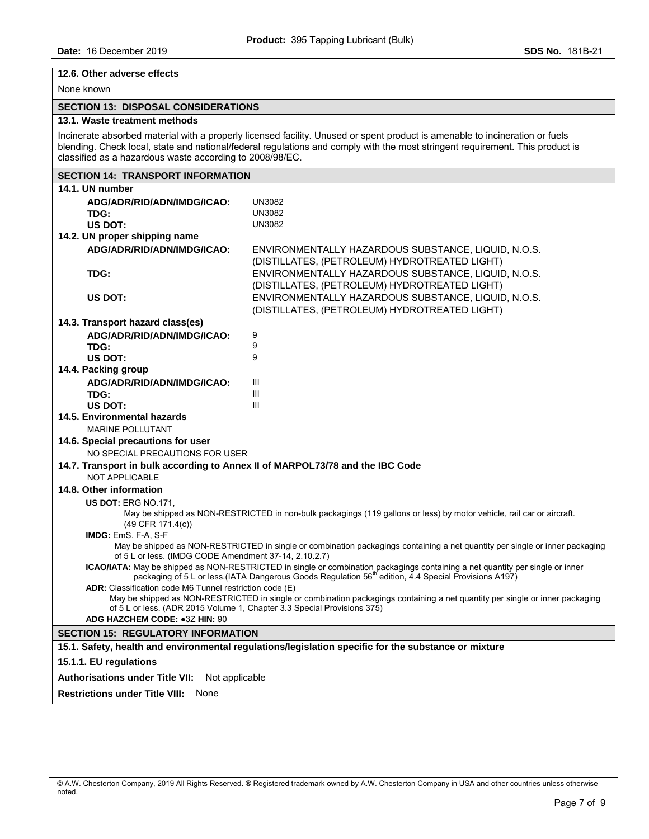# **12.6. Other adverse effects**

None known

# **SECTION 13: DISPOSAL CONSIDERATIONS**

### **13.1. Waste treatment methods**

Incinerate absorbed material with a properly licensed facility. Unused or spent product is amenable to incineration or fuels blending. Check local, state and national/federal regulations and comply with the most stringent requirement. This product is classified as a hazardous waste according to 2008/98/EC.

| <b>SECTION 14: TRANSPORT INFORMATION</b>                                      |                                                                                                                               |
|-------------------------------------------------------------------------------|-------------------------------------------------------------------------------------------------------------------------------|
| 14.1. UN number                                                               |                                                                                                                               |
| ADG/ADR/RID/ADN/IMDG/ICAO:                                                    | <b>UN3082</b>                                                                                                                 |
| TDG:                                                                          | <b>UN3082</b>                                                                                                                 |
| <b>US DOT:</b>                                                                | <b>UN3082</b>                                                                                                                 |
| 14.2. UN proper shipping name                                                 |                                                                                                                               |
| ADG/ADR/RID/ADN/IMDG/ICAO:                                                    | ENVIRONMENTALLY HAZARDOUS SUBSTANCE, LIQUID, N.O.S.                                                                           |
|                                                                               | (DISTILLATES, (PETROLEUM) HYDROTREATED LIGHT)                                                                                 |
| TDG:                                                                          | ENVIRONMENTALLY HAZARDOUS SUBSTANCE, LIQUID, N.O.S.                                                                           |
|                                                                               | (DISTILLATES, (PETROLEUM) HYDROTREATED LIGHT)                                                                                 |
| US DOT:                                                                       | ENVIRONMENTALLY HAZARDOUS SUBSTANCE, LIQUID, N.O.S.                                                                           |
|                                                                               | (DISTILLATES, (PETROLEUM) HYDROTREATED LIGHT)                                                                                 |
| 14.3. Transport hazard class(es)                                              |                                                                                                                               |
| ADG/ADR/RID/ADN/IMDG/ICAO:                                                    | 9                                                                                                                             |
| TDG:                                                                          | 9                                                                                                                             |
| US DOT:                                                                       | 9                                                                                                                             |
| 14.4. Packing group                                                           |                                                                                                                               |
| ADG/ADR/RID/ADN/IMDG/ICAO:                                                    | Ш                                                                                                                             |
| TDG:                                                                          | III                                                                                                                           |
| <b>US DOT:</b>                                                                | $\mathbf{III}$                                                                                                                |
| 14.5. Environmental hazards                                                   |                                                                                                                               |
| <b>MARINE POLLUTANT</b>                                                       |                                                                                                                               |
| 14.6. Special precautions for user                                            |                                                                                                                               |
| NO SPECIAL PRECAUTIONS FOR USER                                               |                                                                                                                               |
| 14.7. Transport in bulk according to Annex II of MARPOL73/78 and the IBC Code |                                                                                                                               |
| <b>NOT APPLICABLE</b>                                                         |                                                                                                                               |
| 14.8. Other information                                                       |                                                                                                                               |
| <b>US DOT: ERG NO.171.</b>                                                    |                                                                                                                               |
|                                                                               | May be shipped as NON-RESTRICTED in non-bulk packagings (119 gallons or less) by motor vehicle, rail car or aircraft.         |
| $(49$ CFR $171.4(c)$ )<br>IMDG: EmS. F-A, S-F                                 |                                                                                                                               |
|                                                                               | May be shipped as NON-RESTRICTED in single or combination packagings containing a net quantity per single or inner packaging  |
| of 5 L or less. (IMDG CODE Amendment 37-14, 2.10.2.7)                         |                                                                                                                               |
|                                                                               | ICAO/IATA: May be shipped as NON-RESTRICTED in single or combination packagings containing a net quantity per single or inner |
|                                                                               | packaging of 5 L or less (IATA Dangerous Goods Regulation 56 <sup>th</sup> edition, 4.4 Special Provisions A197)              |
| ADR: Classification code M6 Tunnel restriction code (E)                       | May be shipped as NON-RESTRICTED in single or combination packagings containing a net quantity per single or inner packaging  |
|                                                                               | of 5 L or less. (ADR 2015 Volume 1, Chapter 3.3 Special Provisions 375)                                                       |
| ADG HAZCHEM CODE: • 3Z HIN: 90                                                |                                                                                                                               |
| <b>SECTION 15: REGULATORY INFORMATION</b>                                     |                                                                                                                               |
|                                                                               | 15.1. Safety, health and environmental regulations/legislation specific for the substance or mixture                          |
| 15.1.1. EU regulations                                                        |                                                                                                                               |
| <b>Authorisations under Title VII:</b><br>Not applicable                      |                                                                                                                               |

**Restrictions under Title VIII:** None

<sup>©</sup> A.W. Chesterton Company, 2019 All Rights Reserved. ® Registered trademark owned by A.W. Chesterton Company in USA and other countries unless otherwise noted.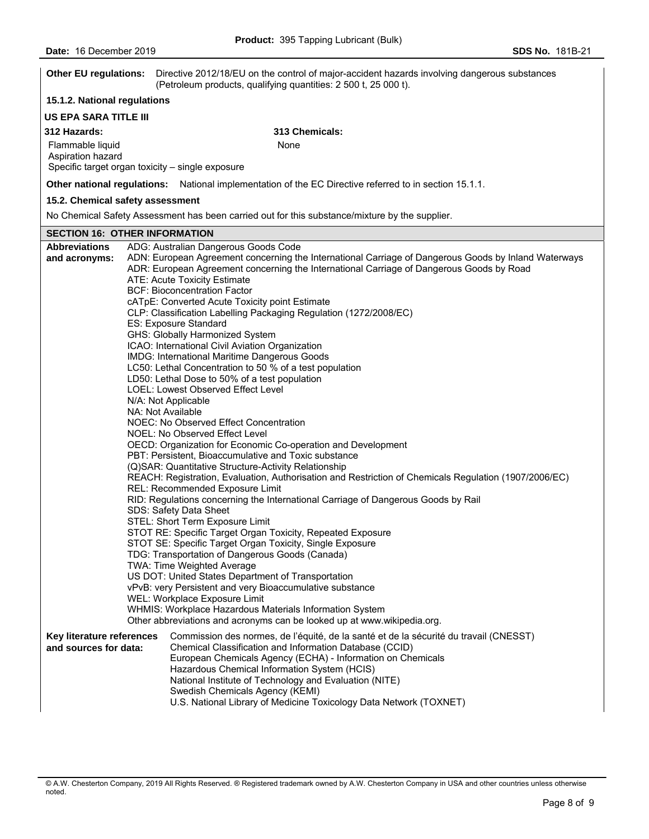| <b>Other EU regulations:</b>         | Directive 2012/18/EU on the control of major-accident hazards involving dangerous substances<br>(Petroleum products, qualifying quantities: 2 500 t, 25 000 t).                                  |
|--------------------------------------|--------------------------------------------------------------------------------------------------------------------------------------------------------------------------------------------------|
| 15.1.2. National regulations         |                                                                                                                                                                                                  |
| <b>US EPA SARA TITLE III</b>         |                                                                                                                                                                                                  |
| 312 Hazards:                         | 313 Chemicals:                                                                                                                                                                                   |
| Flammable liquid                     | None                                                                                                                                                                                             |
| Aspiration hazard                    |                                                                                                                                                                                                  |
|                                      | Specific target organ toxicity - single exposure                                                                                                                                                 |
|                                      | Other national regulations: National implementation of the EC Directive referred to in section 15.1.1.                                                                                           |
| 15.2. Chemical safety assessment     |                                                                                                                                                                                                  |
|                                      | No Chemical Safety Assessment has been carried out for this substance/mixture by the supplier.                                                                                                   |
| <b>SECTION 16: OTHER INFORMATION</b> |                                                                                                                                                                                                  |
| <b>Abbreviations</b>                 | ADG: Australian Dangerous Goods Code                                                                                                                                                             |
| and acronyms:                        | ADN: European Agreement concerning the International Carriage of Dangerous Goods by Inland Waterways<br>ADR: European Agreement concerning the International Carriage of Dangerous Goods by Road |
|                                      | ATE: Acute Toxicity Estimate                                                                                                                                                                     |
|                                      | <b>BCF: Bioconcentration Factor</b>                                                                                                                                                              |
|                                      | cATpE: Converted Acute Toxicity point Estimate<br>CLP: Classification Labelling Packaging Regulation (1272/2008/EC)                                                                              |
|                                      | ES: Exposure Standard                                                                                                                                                                            |
|                                      | GHS: Globally Harmonized System                                                                                                                                                                  |
|                                      | ICAO: International Civil Aviation Organization                                                                                                                                                  |
|                                      | IMDG: International Maritime Dangerous Goods<br>LC50: Lethal Concentration to 50 % of a test population                                                                                          |
|                                      | LD50: Lethal Dose to 50% of a test population                                                                                                                                                    |
|                                      | LOEL: Lowest Observed Effect Level                                                                                                                                                               |
|                                      | N/A: Not Applicable                                                                                                                                                                              |
|                                      | NA: Not Available<br>NOEC: No Observed Effect Concentration                                                                                                                                      |
|                                      | NOEL: No Observed Effect Level                                                                                                                                                                   |
|                                      | OECD: Organization for Economic Co-operation and Development                                                                                                                                     |
|                                      | PBT: Persistent, Bioaccumulative and Toxic substance                                                                                                                                             |
|                                      | (Q)SAR: Quantitative Structure-Activity Relationship                                                                                                                                             |
|                                      | REACH: Registration, Evaluation, Authorisation and Restriction of Chemicals Regulation (1907/2006/EC)<br>REL: Recommended Exposure Limit                                                         |
|                                      | RID: Regulations concerning the International Carriage of Dangerous Goods by Rail                                                                                                                |
|                                      | SDS: Safety Data Sheet                                                                                                                                                                           |
|                                      | STEL: Short Term Exposure Limit                                                                                                                                                                  |
|                                      | STOT RE: Specific Target Organ Toxicity, Repeated Exposure<br>STOT SE: Specific Target Organ Toxicity, Single Exposure                                                                           |
|                                      | TDG: Transportation of Dangerous Goods (Canada)                                                                                                                                                  |
|                                      | TWA: Time Weighted Average                                                                                                                                                                       |
|                                      | US DOT: United States Department of Transportation                                                                                                                                               |
|                                      | vPvB: very Persistent and very Bioaccumulative substance<br>WEL: Workplace Exposure Limit                                                                                                        |
|                                      | WHMIS: Workplace Hazardous Materials Information System                                                                                                                                          |
|                                      | Other abbreviations and acronyms can be looked up at www.wikipedia.org.                                                                                                                          |
| Key literature references            | Commission des normes, de l'équité, de la santé et de la sécurité du travail (CNESST)                                                                                                            |
| and sources for data:                | Chemical Classification and Information Database (CCID)                                                                                                                                          |
|                                      | European Chemicals Agency (ECHA) - Information on Chemicals<br>Hazardous Chemical Information System (HCIS)                                                                                      |
|                                      | National Institute of Technology and Evaluation (NITE)                                                                                                                                           |
|                                      | Swedish Chemicals Agency (KEMI)                                                                                                                                                                  |
|                                      | U.S. National Library of Medicine Toxicology Data Network (TOXNET)                                                                                                                               |